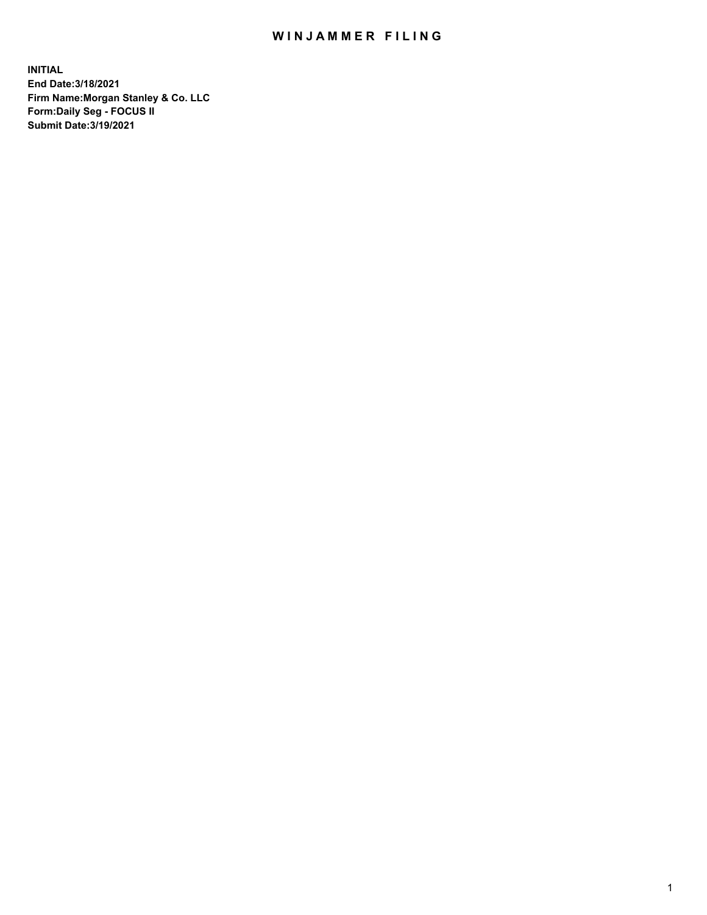## WIN JAMMER FILING

**INITIAL End Date:3/18/2021 Firm Name:Morgan Stanley & Co. LLC Form:Daily Seg - FOCUS II Submit Date:3/19/2021**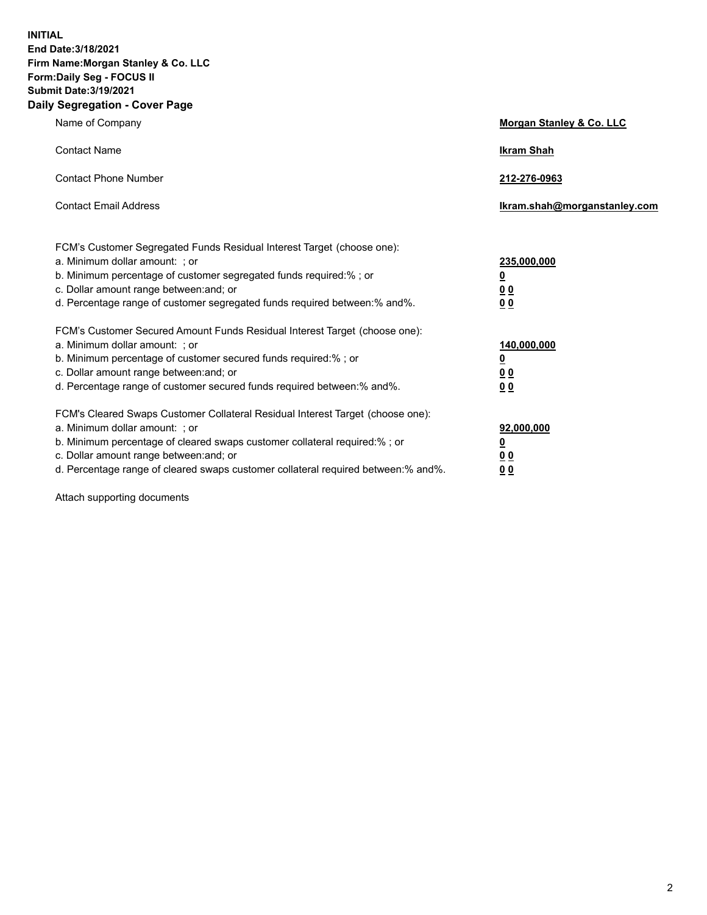**INITIAL End Date:3/18/2021 Firm Name:Morgan Stanley & Co. LLC Form:Daily Seg - FOCUS II Submit Date:3/19/2021 Daily Segregation - Cover Page**

| Name of Company                                                                                                                                                                                                                                                                                                                | <b>Morgan Stanley &amp; Co. LLC</b>                    |
|--------------------------------------------------------------------------------------------------------------------------------------------------------------------------------------------------------------------------------------------------------------------------------------------------------------------------------|--------------------------------------------------------|
| <b>Contact Name</b>                                                                                                                                                                                                                                                                                                            | <b>Ikram Shah</b>                                      |
| <b>Contact Phone Number</b>                                                                                                                                                                                                                                                                                                    | 212-276-0963                                           |
| <b>Contact Email Address</b>                                                                                                                                                                                                                                                                                                   | Ikram.shah@morganstanley.com                           |
| FCM's Customer Segregated Funds Residual Interest Target (choose one):<br>a. Minimum dollar amount: : or<br>b. Minimum percentage of customer segregated funds required:%; or<br>c. Dollar amount range between: and; or<br>d. Percentage range of customer segregated funds required between:% and%.                          | 235,000,000<br><u>0</u><br><u>00</u><br><u>00</u>      |
| FCM's Customer Secured Amount Funds Residual Interest Target (choose one):<br>a. Minimum dollar amount: ; or<br>b. Minimum percentage of customer secured funds required:%; or<br>c. Dollar amount range between: and; or<br>d. Percentage range of customer secured funds required between:% and%.                            | 140,000,000<br><u>0</u><br><u>00</u><br>0 <sub>0</sub> |
| FCM's Cleared Swaps Customer Collateral Residual Interest Target (choose one):<br>a. Minimum dollar amount: ; or<br>b. Minimum percentage of cleared swaps customer collateral required:% ; or<br>c. Dollar amount range between: and; or<br>d. Percentage range of cleared swaps customer collateral required between:% and%. | 92,000,000<br><u>0</u><br><u>00</u><br>00              |

Attach supporting documents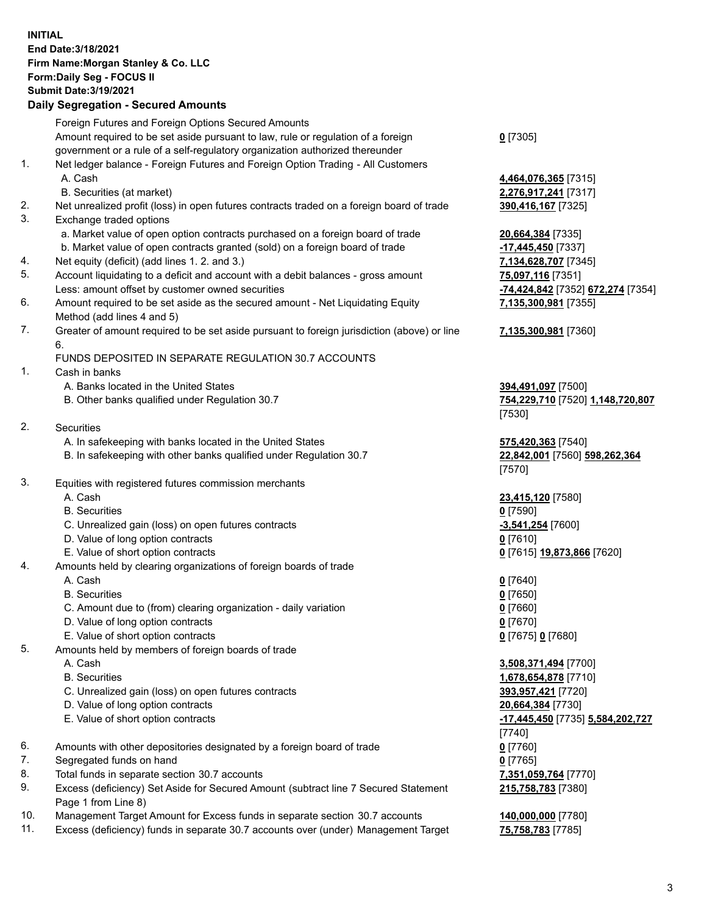## **INITIAL End Date:3/18/2021 Firm Name:Morgan Stanley & Co. LLC Form:Daily Seg - FOCUS II Submit Date:3/19/2021**

## **Daily Segregation - Secured Amounts**

|    | Foreign Futures and Foreign Options Secured Amounts                                                          |                                                |
|----|--------------------------------------------------------------------------------------------------------------|------------------------------------------------|
|    | Amount required to be set aside pursuant to law, rule or regulation of a foreign                             | $0$ [7305]                                     |
|    | government or a rule of a self-regulatory organization authorized thereunder                                 |                                                |
| 1. | Net ledger balance - Foreign Futures and Foreign Option Trading - All Customers                              |                                                |
|    | A. Cash                                                                                                      | 4,464,076,365 [7315]                           |
|    | B. Securities (at market)                                                                                    | 2,276,917,241 [7317]                           |
| 2. | Net unrealized profit (loss) in open futures contracts traded on a foreign board of trade                    | 390,416,167 [7325]                             |
| 3. | Exchange traded options                                                                                      |                                                |
|    | a. Market value of open option contracts purchased on a foreign board of trade                               | 20,664,384 [7335]                              |
|    | b. Market value of open contracts granted (sold) on a foreign board of trade                                 | -17,445,450 [7337]                             |
| 4. | Net equity (deficit) (add lines 1. 2. and 3.)                                                                | 7,134,628,707 [7345]                           |
| 5. | Account liquidating to a deficit and account with a debit balances - gross amount                            | 75,097,116 [7351]                              |
|    | Less: amount offset by customer owned securities                                                             | <mark>-74,424,842</mark> [7352] <b>672,274</b> |
| 6. | Amount required to be set aside as the secured amount - Net Liquidating Equity<br>Method (add lines 4 and 5) | 7,135,300,981 [7355]                           |
| 7. | Greater of amount required to be set aside pursuant to foreign jurisdiction (above) or line<br>6.            | 7,135,300,981 [7360]                           |
|    | FUNDS DEPOSITED IN SEPARATE REGULATION 30.7 ACCOUNTS                                                         |                                                |
| 1. | Cash in banks                                                                                                |                                                |
|    | A. Banks located in the United States                                                                        | 394,491,097 [7500]                             |
|    | B. Other banks qualified under Regulation 30.7                                                               | 754,229,710 [7520] 1,148,7                     |
|    |                                                                                                              | [7530]                                         |
| 2. | Securities                                                                                                   |                                                |
|    | A. In safekeeping with banks located in the United States                                                    | 575,420,363 [7540]                             |
|    | B. In safekeeping with other banks qualified under Regulation 30.7                                           | 22,842,001 [7560] 598,262<br>[7570]            |
| 3. | Equities with registered futures commission merchants                                                        |                                                |
|    | A. Cash                                                                                                      | 23,415,120 [7580]                              |
|    | <b>B.</b> Securities                                                                                         | $0$ [7590]                                     |
|    | C. Unrealized gain (loss) on open futures contracts                                                          | $-3,541,254$ [7600]                            |
|    | D. Value of long option contracts                                                                            | $0$ [7610]                                     |
|    | E. Value of short option contracts                                                                           | 0 [7615] 19,873,866 [7620]                     |
| 4. | Amounts held by clearing organizations of foreign boards of trade                                            |                                                |
|    | A. Cash                                                                                                      | $0$ [7640]                                     |
|    | <b>B.</b> Securities                                                                                         | $0$ [7650]                                     |
|    | C. Amount due to (from) clearing organization - daily variation                                              | $0$ [7660]                                     |
|    | D. Value of long option contracts                                                                            | $0$ [7670]                                     |
|    | E. Value of short option contracts                                                                           | 0 [7675] 0 [7680]                              |
| 5. | Amounts held by members of foreign boards of trade                                                           |                                                |
|    | A. Cash                                                                                                      | 3,508,371,494 [7700]                           |
|    | <b>B.</b> Securities                                                                                         | 1,678,654,878 [7710]                           |
|    | C. Unrealized gain (loss) on open futures contracts                                                          | 393,957,421 [7720]                             |
|    | D. Value of long option contracts                                                                            | 20,664,384 [7730]                              |
|    | E. Value of short option contracts                                                                           | <u>-17,445,450</u> [7735] 5,584,2              |
|    |                                                                                                              | [7740]                                         |
| 6. | Amounts with other depositories designated by a foreign board of trade                                       | $0$ [7760]                                     |
| 7. | Segregated funds on hand                                                                                     | $0$ [7765]                                     |
| 8. | Total funds in separate section 30.7 accounts                                                                | 7,351,059,764 [7770]                           |
| 9. | Excess (deficiency) Set Aside for Secured Amount (subtract line 7 Secured Statement                          | 215,758,783 [7380]                             |
|    | Page 1 from Line 8)                                                                                          |                                                |

- 10. Management Target Amount for Excess funds in separate section 30.7 accounts **140,000,000** [7780]
- 11. Excess (deficiency) funds in separate 30.7 accounts over (under) Management Target **75,758,783** [7785]

Less: amount offset by customer owned securities **-74,424,842** [7352] **672,274** [7354]

## **7,135,300,981** [7360]

8 **520 1,148,720,807** 

B0] 598,262,364

**E. 5,584,202,727** 380]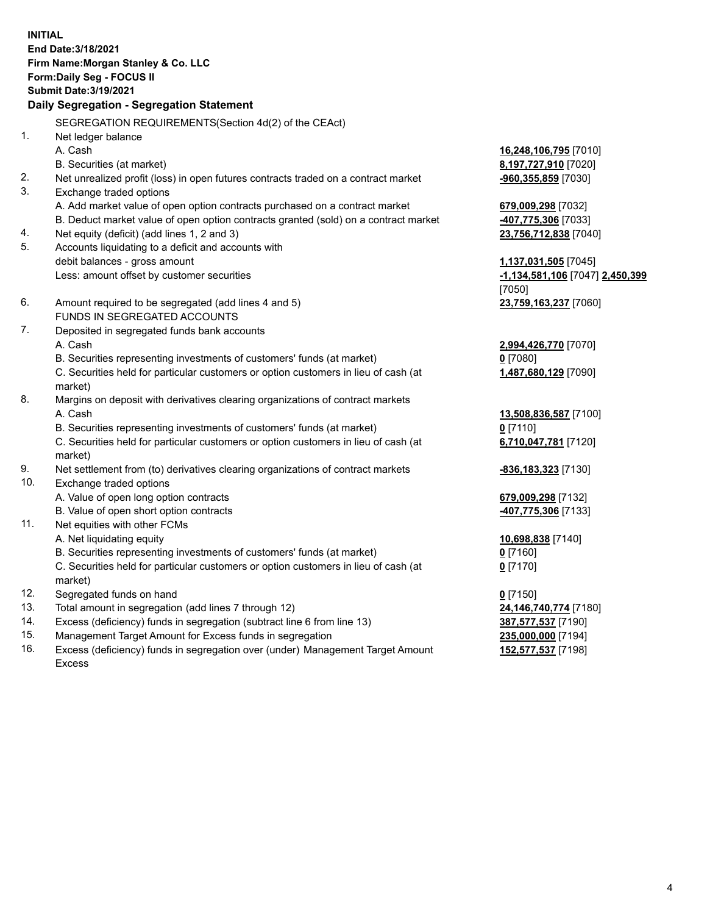**INITIAL End Date:3/18/2021 Firm Name:Morgan Stanley & Co. LLC Form:Daily Seg - FOCUS II Submit Date:3/19/2021 Daily Segregation - Segregation Statement** SEGREGATION REQUIREMENTS(Section 4d(2) of the CEAct) 1. Net ledger balance A. Cash **16,248,106,795** [7010] B. Securities (at market) **8,197,727,910** [7020] 2. Net unrealized profit (loss) in open futures contracts traded on a contract market **-960,355,859** [7030] 3. Exchange traded options A. Add market value of open option contracts purchased on a contract market **679,009,298** [7032] B. Deduct market value of open option contracts granted (sold) on a contract market **-407,775,306** [7033] 4. Net equity (deficit) (add lines 1, 2 and 3) **23,756,712,838** [7040] 5. Accounts liquidating to a deficit and accounts with debit balances - gross amount **1,137,031,505** [7045] Less: amount offset by customer securities **-1,134,581,106** [7047] **2,450,399** [7050] 6. Amount required to be segregated (add lines 4 and 5) **23,759,163,237** [7060] FUNDS IN SEGREGATED ACCOUNTS 7. Deposited in segregated funds bank accounts A. Cash **2,994,426,770** [7070] B. Securities representing investments of customers' funds (at market) **0** [7080] C. Securities held for particular customers or option customers in lieu of cash (at market) **1,487,680,129** [7090] 8. Margins on deposit with derivatives clearing organizations of contract markets A. Cash **13,508,836,587** [7100] B. Securities representing investments of customers' funds (at market) **0** [7110] C. Securities held for particular customers or option customers in lieu of cash (at market) **6,710,047,781** [7120] 9. Net settlement from (to) derivatives clearing organizations of contract markets **-836,183,323** [7130] 10. Exchange traded options A. Value of open long option contracts **679,009,298** [7132] B. Value of open short option contracts **-407,775,306** [7133] 11. Net equities with other FCMs A. Net liquidating equity **10,698,838** [7140] B. Securities representing investments of customers' funds (at market) **0** [7160] C. Securities held for particular customers or option customers in lieu of cash (at market) **0** [7170] 12. Segregated funds on hand **0** [7150] 13. Total amount in segregation (add lines 7 through 12) **24,146,740,774** [7180] 14. Excess (deficiency) funds in segregation (subtract line 6 from line 13) **387,577,537** [7190] 15. Management Target Amount for Excess funds in segregation **235,000,000** [7194]

16. Excess (deficiency) funds in segregation over (under) Management Target Amount Excess

**152,577,537** [7198]